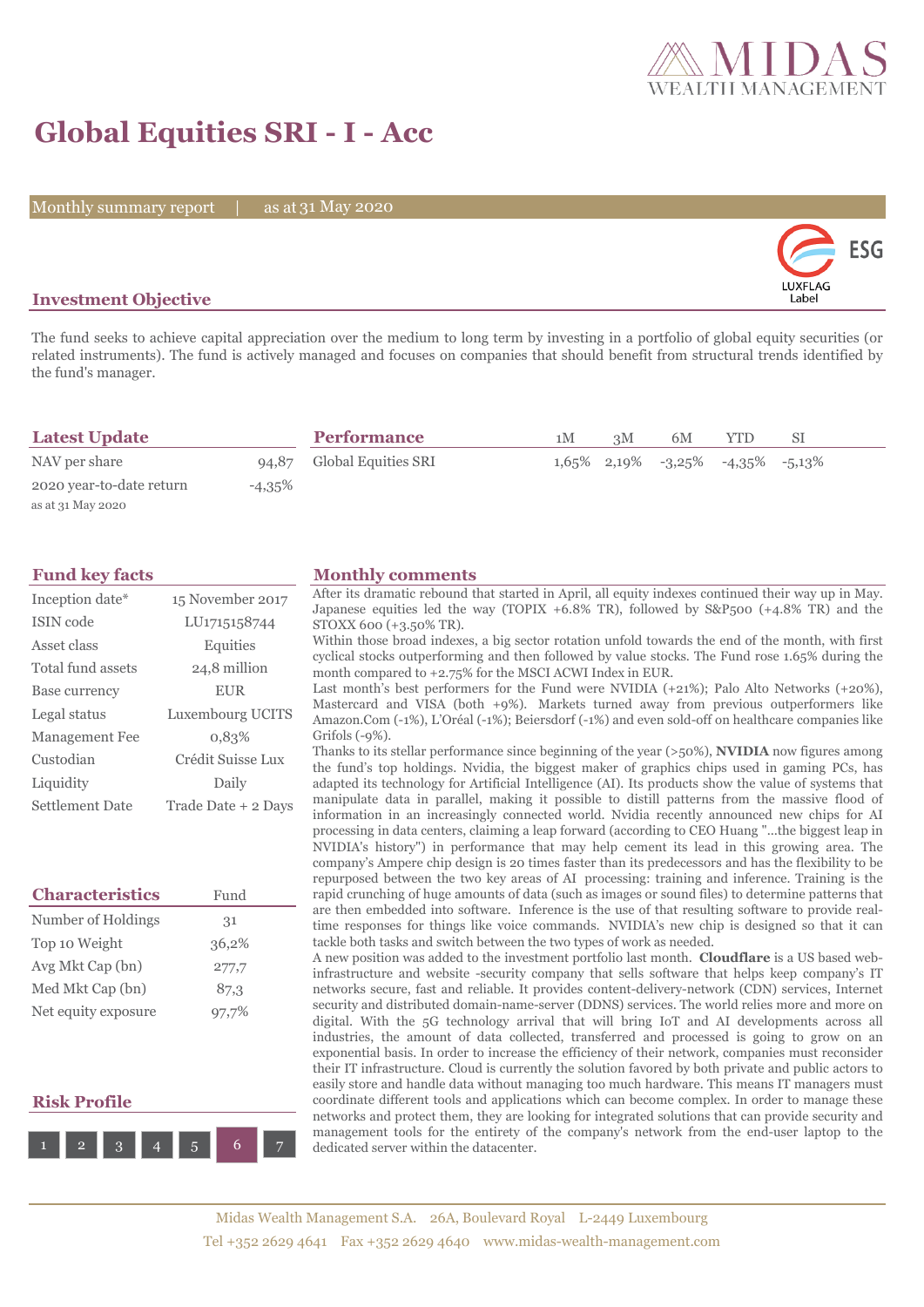## **Global Equities SRI - I - Acc**

Monthly summary report | as at 31 May 2020



## **Investment Objective**

The fund seeks to achieve capital appreciation over the medium to long term by investing in a portfolio of global equity securities (or related instruments). The fund is actively managed and focuses on companies that should benefit from structural trends identified by the fund's manager.

| <b>Latest Update</b>     |           | <b>Performance</b>        | 1M | 3M | 6M                                  | YTD | SΙ |  |
|--------------------------|-----------|---------------------------|----|----|-------------------------------------|-----|----|--|
| NAV per share            |           | 94,87 Global Equities SRI |    |    | $1,65\%$ 2,19% -3,25% -4,35% -5,13% |     |    |  |
| 2020 year-to-date return | $-4,35\%$ |                           |    |    |                                     |     |    |  |
| as at 31 May 2020        |           |                           |    |    |                                     |     |    |  |

| Inception date*        | 15 November 2017    |  |  |  |
|------------------------|---------------------|--|--|--|
| ISIN code              | LU1715158744        |  |  |  |
| Asset class            | Equities            |  |  |  |
| Total fund assets      | 24,8 million        |  |  |  |
| Base currency          | <b>EUR</b>          |  |  |  |
| Legal status           | Luxembourg UCITS    |  |  |  |
| <b>Management Fee</b>  | 0.83%               |  |  |  |
| Custodian              | Crédit Suisse Lux   |  |  |  |
| Liquidity              | Daily               |  |  |  |
| <b>Settlement Date</b> | Trade Date + 2 Days |  |  |  |

| <b>Characteristics</b> | Fund  |  |  |
|------------------------|-------|--|--|
| Number of Holdings     | 31    |  |  |
| Top 10 Weight          | 36,2% |  |  |
| Avg Mkt Cap (bn)       | 277,7 |  |  |
| Med Mkt Cap (bn)       | 87.3  |  |  |
| Net equity exposure    | 97,7% |  |  |

## **Risk Profile**



### **Fund key facts Monthly comments**

After its dramatic rebound that started in April, all equity indexes continued their way up in May. Japanese equities led the way (TOPIX +6.8% TR), followed by S&P500 (+4.8% TR) and the STOXX 600 (+3.50% TR).

Within those broad indexes, a big sector rotation unfold towards the end of the month, with first cyclical stocks outperforming and then followed by value stocks. The Fund rose 1.65% during the month compared to +2.75% for the MSCI ACWI Index in EUR.

Last month's best performers for the Fund were NVIDIA (+21%); Palo Alto Networks (+20%), Mastercard and VISA (both +9%). Markets turned away from previous outperformers like Amazon.Com (-1%), L'Oréal (-1%); Beiersdorf (-1%) and even sold-off on healthcare companies like Grifols (-9%).

Thanks to its stellar performance since beginning of the year (>50%), **NVIDIA** now figures among the fund's top holdings. Nvidia, the biggest maker of graphics chips used in gaming PCs, has adapted its technology for Artificial Intelligence (AI). Its products show the value of systems that manipulate data in parallel, making it possible to distill patterns from the massive flood of information in an increasingly connected world. Nvidia recently announced new chips for AI processing in data centers, claiming a leap forward (according to CEO Huang "...the biggest leap in NVIDIA's history") in performance that may help cement its lead in this growing area. The company's Ampere chip design is 20 times faster than its predecessors and has the flexibility to be repurposed between the two key areas of AI processing: training and inference. Training is the rapid crunching of huge amounts of data (such as images or sound files) to determine patterns that are then embedded into software. Inference is the use of that resulting software to provide realtime responses for things like voice commands. NVIDIA's new chip is designed so that it can tackle both tasks and switch between the two types of work as needed.

A new position was added to the investment portfolio last month. **Cloudflare** is a US based webinfrastructure and website -security company that sells software that helps keep company's IT networks secure, fast and reliable. It provides content-delivery-network (CDN) services, Internet security and distributed domain-name-server (DDNS) services. The world relies more and more on digital. With the 5G technology arrival that will bring IoT and AI developments across all industries, the amount of data collected, transferred and processed is going to grow on an exponential basis. In order to increase the efficiency of their network, companies must reconsider their IT infrastructure. Cloud is currently the solution favored by both private and public actors to easily store and handle data without managing too much hardware. This means IT managers must coordinate different tools and applications which can become complex. In order to manage these networks and protect them, they are looking for integrated solutions that can provide security and management tools for the entirety of the company's network from the end-user laptop to the dedicated server within the datacenter.